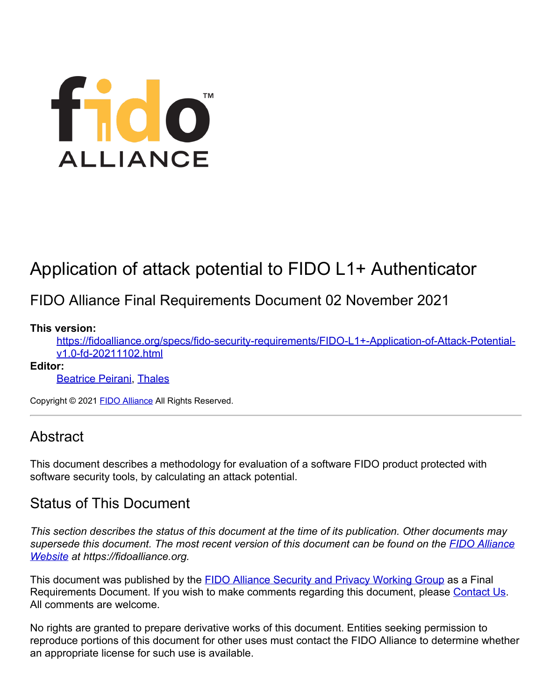# fido<sup>"</sup> **ALLIANCE**

# Application of attack potential to FIDO L1+ Authenticator

# FIDO Alliance Final Requirements Document 02 November 2021

### **This version:**

[https://fidoalliance.org/specs/fido-security-requirements/FIDO-L1+-Application-of-Attack-Potential](https://fidoalliance.org/specs/fido-security-requirements/FIDO-L1+-Application-of-Attack-Potential-v1.0-fd-20211102.html)[v1.0-fd-20211102.html](https://fidoalliance.org/specs/fido-security-requirements/FIDO-L1+-Application-of-Attack-Potential-v1.0-fd-20211102.html)

#### **Editor:**

**[Beatrice Peirani](mailto:beatrice.peirani@thalesgroup.com), [Thales](http://www.thalesgroup.com/)** 

Copyright © 2021 [FIDO Alliance](https://fidoalliance.org/) All Rights Reserved.

# **Abstract**

This document describes a methodology for evaluation of a software FIDO product protected with software security tools, by calculating an attack potential.

# Status of This Document

*This section describes the status of this document at the time of its publication. Other documents may supersede this document. The most recent version of this document can be found on the [FIDO Alliance](https://fidoalliance.org/) [Website](https://fidoalliance.org/) at https://fidoalliance.org.*

This document was published by the **FIDO Alliance Security and Privacy Working Group** as a Final Requirements Document. If you wish to make comments regarding this document, please [Contact Us](https://fidoalliance.org/contact). All comments are welcome.

No rights are granted to prepare derivative works of this document. Entities seeking permission to reproduce portions of this document for other uses must contact the FIDO Alliance to determine whether an appropriate license for such use is available.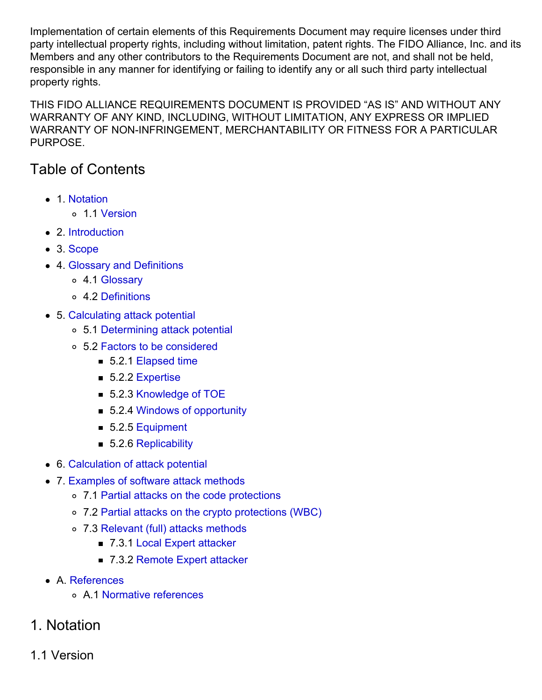Implementation of certain elements of this Requirements Document may require licenses under third party intellectual property rights, including without limitation, patent rights. The FIDO Alliance, Inc. and its Members and any other contributors to the Requirements Document are not, and shall not be held, responsible in any manner for identifying or failing to identify any or all such third party intellectual property rights.

THIS FIDO ALLIANCE REQUIREMENTS DOCUMENT IS PROVIDED "AS IS" AND WITHOUT ANY WARRANTY OF ANY KIND, INCLUDING, WITHOUT LIMITATION, ANY EXPRESS OR IMPLIED WARRANTY OF NON-INFRINGEMENT, MERCHANTABILITY OR FITNESS FOR A PARTICULAR PURPOSE.

# Table of Contents

- [1. Notation](#page-2-0)
	- [1.1 Version](#page-2-1)
- [2. Introduction](#page-2-2)
- [3. Scope](#page-2-3)
- [4. Glossary and Definitions](#page-3-0)
	- [4.1 Glossary](#page-2-4)
	- [4.2 Definitions](#page-3-1)
- [5. Calculating attack potential](#page-7-0)
	- [5.1 Determining attack potential](#page-4-0)
	- [5.2 Factors to be considered](#page-7-1)
		- [5.2.1 Elapsed time](#page-4-1)
		- [5.2.2 Expertise](#page-4-2)
		- [5.2.3 Knowledge of TOE](#page-5-0)
		- [5.2.4 Windows of opportunity](#page-5-1)
		- [5.2.5 Equipment](#page-6-0)
		- [5.2.6 Replicability](#page-7-2)
- [6. Calculation of attack potential](#page-8-0)
- [7. Examples of software attack methods](#page-12-0)
	- [7.1 Partial attacks on the code protections](#page-10-0)
	- [7.2 Partial attacks on the crypto protections \(WBC\)](#page-10-1)
	- [7.3 Relevant \(full\) attacks methods](#page-12-1)
		- [7.3.1 Local Expert attacker](#page-11-0)
		- [7.3.2 Remote Expert attacker](#page-12-2)
- [A. References](#page-12-3)
	- [A.1 Normative references](#page-12-4)
- 1. Notation
- 1.1 Version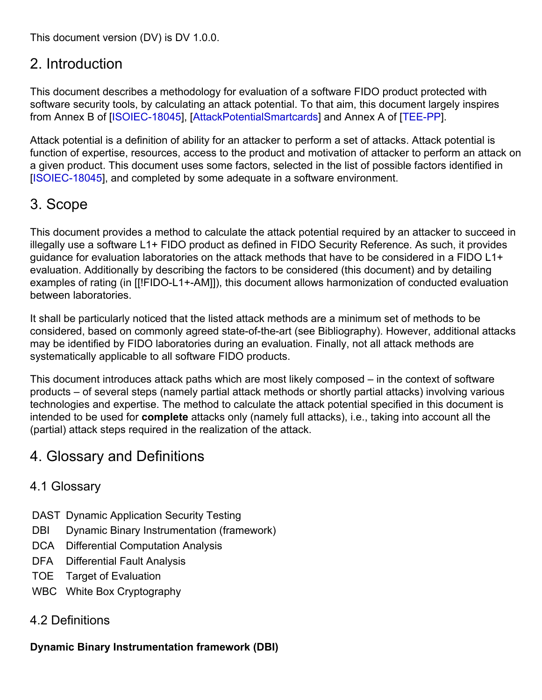<span id="page-2-1"></span><span id="page-2-0"></span>This document version (DV) is DV 1.0.0.

# <span id="page-2-2"></span>2. Introduction

This document describes a methodology for evaluation of a software FIDO product protected with software security tools, by calculating an attack potential. To that aim, this document largely inspires from Annex B of [\[ISOIEC-18045](#page-12-5)], [\[AttackPotentialSmartcards](#page-12-6)] and Annex A of [[TEE-PP](#page-12-7)].

Attack potential is a definition of ability for an attacker to perform a set of attacks. Attack potential is function of expertise, resources, access to the product and motivation of attacker to perform an attack on a given product. This document uses some factors, selected in the list of possible factors identified in [\[ISOIEC-18045](#page-12-5)], and completed by some adequate in a software environment.

# <span id="page-2-3"></span>3. Scope

This document provides a method to calculate the attack potential required by an attacker to succeed in illegally use a software L1+ FIDO product as defined in FIDO Security Reference. As such, it provides guidance for evaluation laboratories on the attack methods that have to be considered in a FIDO L1+ evaluation. Additionally by describing the factors to be considered (this document) and by detailing examples of rating (in [[!FIDO-L1+-AM]]), this document allows harmonization of conducted evaluation between laboratories.

It shall be particularly noticed that the listed attack methods are a minimum set of methods to be considered, based on commonly agreed state-of-the-art (see Bibliography). However, additional attacks may be identified by FIDO laboratories during an evaluation. Finally, not all attack methods are systematically applicable to all software FIDO products.

This document introduces attack paths which are most likely composed – in the context of software products – of several steps (namely partial attack methods or shortly partial attacks) involving various technologies and expertise. The method to calculate the attack potential specified in this document is intended to be used for **complete** attacks only (namely full attacks), i.e., taking into account all the (partial) attack steps required in the realization of the attack.

# 4. Glossary and Definitions

# <span id="page-2-4"></span>4.1 Glossary

- DAST Dynamic Application Security Testing
- DBI Dynamic Binary Instrumentation (framework)
- DCA Differential Computation Analysis
- DFA Differential Fault Analysis
- TOE Target of Evaluation
- WBC White Box Cryptography

# 4.2 Definitions

# **Dynamic Binary Instrumentation framework (DBI)**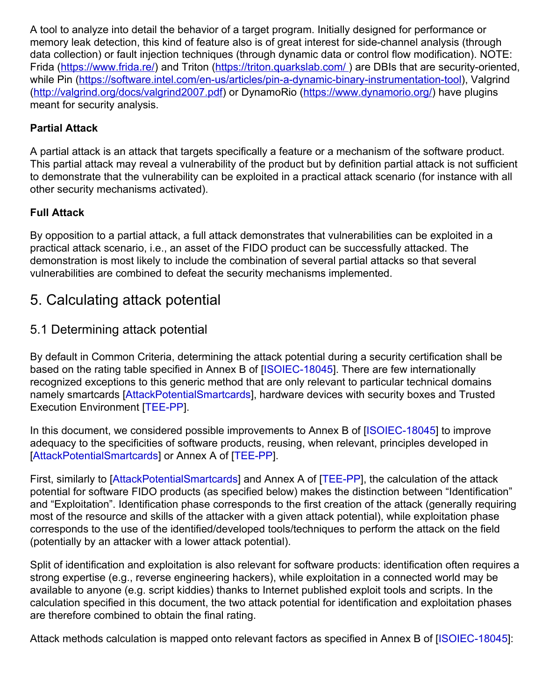<span id="page-3-1"></span><span id="page-3-0"></span>A tool to analyze into detail the behavior of a target program. Initially designed for performance or memory leak detection, this kind of feature also is of great interest for side-channel analysis (through data collection) or fault injection techniques (through dynamic data or control flow modification). NOTE: Frida ([https://www.frida.re/\)](https://www.frida.re/) and Triton (https://triton.quarkslab.com/) are DBIs that are security-oriented, while Pin [\(https://software.intel.com/en-us/articles/pin-a-dynamic-binary-instrumentation-tool](https://software.intel.com/en-us/articles/pin-a-dynamic-binary-instrumentation-tool)), Valgrind [\(http://valgrind.org/docs/valgrind2007.pdf](http://valgrind.org/docs/valgrind2007.pdf)) or DynamoRio [\(https://www.dynamorio.org/](https://www.dynamorio.org/)) have plugins meant for security analysis.

## **Partial Attack**

A partial attack is an attack that targets specifically a feature or a mechanism of the software product. This partial attack may reveal a vulnerability of the product but by definition partial attack is not sufficient to demonstrate that the vulnerability can be exploited in a practical attack scenario (for instance with all other security mechanisms activated).

## **Full Attack**

By opposition to a partial attack, a full attack demonstrates that vulnerabilities can be exploited in a practical attack scenario, i.e., an asset of the FIDO product can be successfully attacked. The demonstration is most likely to include the combination of several partial attacks so that several vulnerabilities are combined to defeat the security mechanisms implemented.

# 5. Calculating attack potential

# 5.1 Determining attack potential

By default in Common Criteria, determining the attack potential during a security certification shall be based on the rating table specified in Annex B of [\[ISOIEC-18045](#page-12-5)]. There are few internationally recognized exceptions to this generic method that are only relevant to particular technical domains namely smartcards [\[AttackPotentialSmartcards](#page-12-6)], hardware devices with security boxes and Trusted Execution Environment [\[TEE-PP](#page-12-7)].

In this document, we considered possible improvements to Annex B of [\[ISOIEC-18045](#page-12-5)] to improve adequacy to the specificities of software products, reusing, when relevant, principles developed in [\[AttackPotentialSmartcards](#page-12-6)] or Annex A of [\[TEE-PP](#page-12-7)].

First, similarly to [\[AttackPotentialSmartcards](#page-12-6)] and Annex A of [\[TEE-PP](#page-12-7)], the calculation of the attack potential for software FIDO products (as specified below) makes the distinction between "Identification" and "Exploitation". Identification phase corresponds to the first creation of the attack (generally requiring most of the resource and skills of the attacker with a given attack potential), while exploitation phase corresponds to the use of the identified/developed tools/techniques to perform the attack on the field (potentially by an attacker with a lower attack potential).

Split of identification and exploitation is also relevant for software products: identification often requires a strong expertise (e.g., reverse engineering hackers), while exploitation in a connected world may be available to anyone (e.g. script kiddies) thanks to Internet published exploit tools and scripts. In the calculation specified in this document, the two attack potential for identification and exploitation phases are therefore combined to obtain the final rating.

Attack methods calculation is mapped onto relevant factors as specified in Annex B of [\[ISOIEC-18045](#page-12-5)]: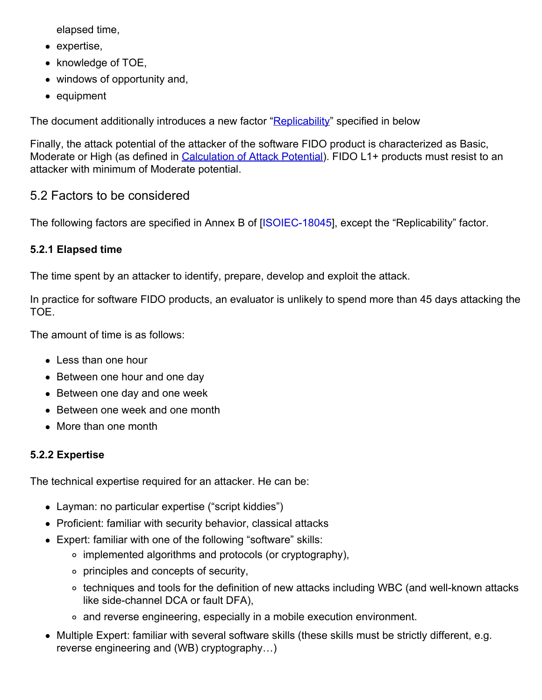<span id="page-4-0"></span>elapsed time,

- expertise,
- knowledge of TOE,
- windows of opportunity and,
- equipment

The document additionally introduces a new factor "**Replicability**" specified in below

Finally, the attack potential of the attacker of the software FIDO product is characterized as Basic, Moderate or High (as defined in [Calculation of Attack Potential](#page-7-3)). FIDO L1+ products must resist to an attacker with minimum of Moderate potential.

# 5.2 Factors to be considered

The following factors are specified in Annex B of [[ISOIEC-18045\]](#page-12-5), except the "Replicability" factor.

## <span id="page-4-1"></span>**5.2.1 Elapsed time**

The time spent by an attacker to identify, prepare, develop and exploit the attack.

In practice for software FIDO products, an evaluator is unlikely to spend more than 45 days attacking the TOE.

The amount of time is as follows:

- Less than one hour
- Between one hour and one day
- Between one day and one week
- Between one week and one month
- More than one month

## <span id="page-4-2"></span>**5.2.2 Expertise**

The technical expertise required for an attacker. He can be:

- Layman: no particular expertise ("script kiddies")
- Proficient: familiar with security behavior, classical attacks
- Expert: familiar with one of the following "software" skills:
	- implemented algorithms and protocols (or cryptography),
	- principles and concepts of security,
	- ∘ techniques and tools for the definition of new attacks including WBC (and well-known attacks like side-channel DCA or fault DFA),
	- and reverse engineering, especially in a mobile execution environment.
- Multiple Expert: familiar with several software skills (these skills must be strictly different, e.g. reverse engineering and (WB) cryptography…)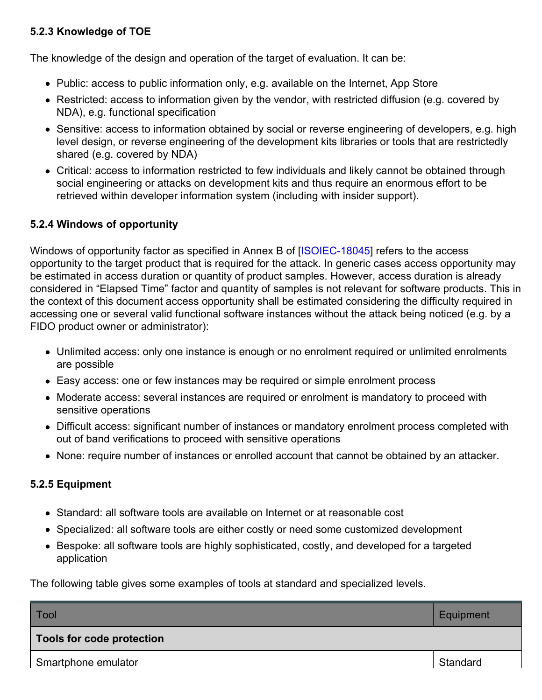## <span id="page-5-0"></span>**5.2.3 Knowledge of TOE**

The knowledge of the design and operation of the target of evaluation. It can be:

- Public: access to public information only, e.g. available on the Internet, App Store
- Restricted: access to information given by the vendor, with restricted diffusion (e.g. covered by NDA), e.g. functional specification
- Sensitive: access to information obtained by social or reverse engineering of developers, e.g. high level design, or reverse engineering of the development kits libraries or tools that are restrictedly shared (e.g. covered by NDA)
- Critical: access to information restricted to few individuals and likely cannot be obtained through social engineering or attacks on development kits and thus require an enormous effort to be retrieved within developer information system (including with insider support).

#### <span id="page-5-1"></span>**5.2.4 Windows of opportunity**

Windows of opportunity factor as specified in Annex B of [\[ISOIEC-18045](#page-12-5)] refers to the access opportunity to the target product that is required for the attack. In generic cases access opportunity may be estimated in access duration or quantity of product samples. However, access duration is already considered in "Elapsed Time" factor and quantity of samples is not relevant for software products. This in the context of this document access opportunity shall be estimated considering the difficulty required in accessing one or several valid functional software instances without the attack being noticed (e.g. by a FIDO product owner or administrator):

- Unlimited access: only one instance is enough or no enrolment required or unlimited enrolments are possible
- Easy access: one or few instances may be required or simple enrolment process
- Moderate access: several instances are required or enrolment is mandatory to proceed with sensitive operations
- Difficult access: significant number of instances or mandatory enrolment process completed with out of band verifications to proceed with sensitive operations
- None: require number of instances or enrolled account that cannot be obtained by an attacker.

#### **5.2.5 Equipment**

- Standard: all software tools are available on Internet or at reasonable cost
- Specialized: all software tools are either costly or need some customized development
- Bespoke: all software tools are highly sophisticated, costly, and developed for a targeted application

The following table gives some examples of tools at standard and specialized levels.

| Tool                      | Equipment |
|---------------------------|-----------|
| Tools for code protection |           |
| Smartphone emulator       | Standard  |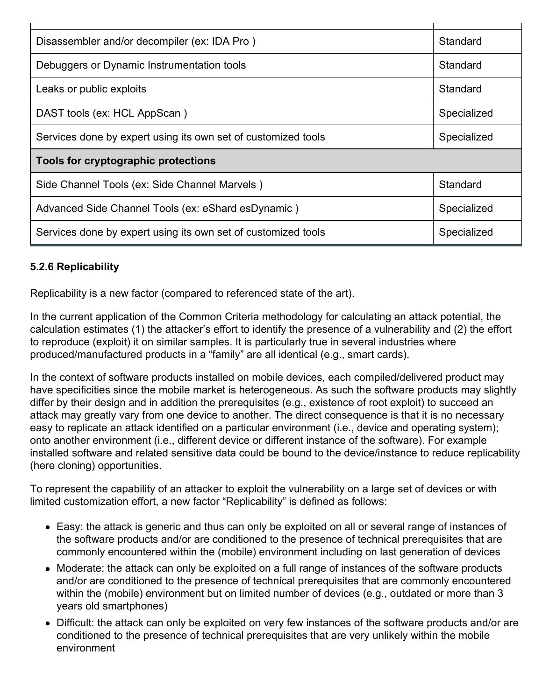<span id="page-6-0"></span>

| Disassembler and/or decompiler (ex: IDA Pro)                  | Standard    |  |
|---------------------------------------------------------------|-------------|--|
| Debuggers or Dynamic Instrumentation tools                    | Standard    |  |
| Leaks or public exploits                                      | Standard    |  |
| DAST tools (ex: HCL AppScan)                                  | Specialized |  |
| Services done by expert using its own set of customized tools | Specialized |  |
| Tools for cryptographic protections                           |             |  |
| Side Channel Tools (ex: Side Channel Marvels)                 | Standard    |  |
| Advanced Side Channel Tools (ex: eShard esDynamic)            | Specialized |  |
| Services done by expert using its own set of customized tools | Specialized |  |

## <span id="page-6-1"></span>**5.2.6 Replicability**

Replicability is a new factor (compared to referenced state of the art).

In the current application of the Common Criteria methodology for calculating an attack potential, the calculation estimates (1) the attacker's effort to identify the presence of a vulnerability and (2) the effort to reproduce (exploit) it on similar samples. It is particularly true in several industries where produced/manufactured products in a "family" are all identical (e.g., smart cards).

In the context of software products installed on mobile devices, each compiled/delivered product may have specificities since the mobile market is heterogeneous. As such the software products may slightly differ by their design and in addition the prerequisites (e.g., existence of root exploit) to succeed an attack may greatly vary from one device to another. The direct consequence is that it is no necessary easy to replicate an attack identified on a particular environment (i.e., device and operating system); onto another environment (i.e., different device or different instance of the software). For example installed software and related sensitive data could be bound to the device/instance to reduce replicability (here cloning) opportunities.

To represent the capability of an attacker to exploit the vulnerability on a large set of devices or with limited customization effort, a new factor "Replicability" is defined as follows:

- Easy: the attack is generic and thus can only be exploited on all or several range of instances of the software products and/or are conditioned to the presence of technical prerequisites that are commonly encountered within the (mobile) environment including on last generation of devices
- Moderate: the attack can only be exploited on a full range of instances of the software products and/or are conditioned to the presence of technical prerequisites that are commonly encountered within the (mobile) environment but on limited number of devices (e.g., outdated or more than 3 years old smartphones)
- Difficult: the attack can only be exploited on very few instances of the software products and/or are conditioned to the presence of technical prerequisites that are very unlikely within the mobile environment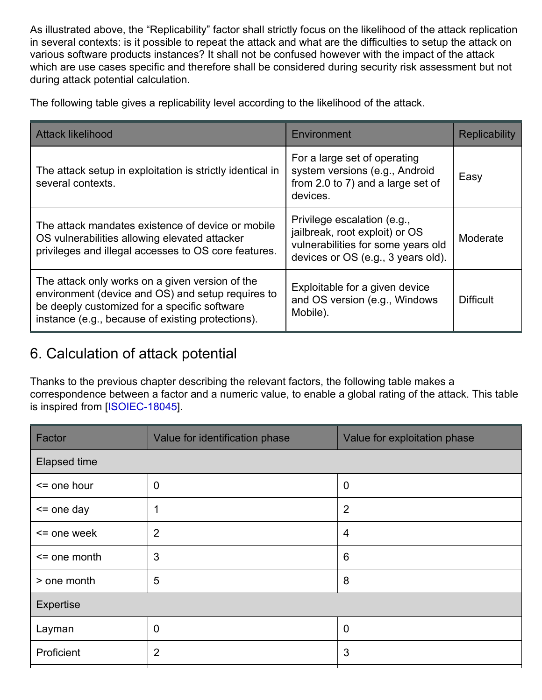<span id="page-7-2"></span><span id="page-7-1"></span><span id="page-7-0"></span>As illustrated above, the "Replicability" factor shall strictly focus on the likelihood of the attack replication in several contexts: is it possible to repeat the attack and what are the difficulties to setup the attack on various software products instances? It shall not be confused however with the impact of the attack which are use cases specific and therefore shall be considered during security risk assessment but not during attack potential calculation.

The following table gives a replicability level according to the likelihood of the attack.

| <b>Attack likelihood</b>                                                                                                                                                                                  | Environment                                                                                                                               | <b>Replicability</b> |
|-----------------------------------------------------------------------------------------------------------------------------------------------------------------------------------------------------------|-------------------------------------------------------------------------------------------------------------------------------------------|----------------------|
| The attack setup in exploitation is strictly identical in<br>several contexts.                                                                                                                            | For a large set of operating<br>system versions (e.g., Android<br>from 2.0 to 7) and a large set of<br>devices.                           | Easy                 |
| The attack mandates existence of device or mobile<br>OS vulnerabilities allowing elevated attacker<br>privileges and illegal accesses to OS core features.                                                | Privilege escalation (e.g.,<br>jailbreak, root exploit) or OS<br>vulnerabilities for some years old<br>devices or OS (e.g., 3 years old). | Moderate             |
| The attack only works on a given version of the<br>environment (device and OS) and setup requires to<br>be deeply customized for a specific software<br>instance (e.g., because of existing protections). | Exploitable for a given device<br>and OS version (e.g., Windows<br>Mobile).                                                               | <b>Difficult</b>     |

# <span id="page-7-3"></span>6. Calculation of attack potential

Thanks to the previous chapter describing the relevant factors, the following table makes a correspondence between a factor and a numeric value, to enable a global rating of the attack. This table is inspired from [\[ISOIEC-18045](#page-12-5)].

| Value for identification phase | Value for exploitation phase |  |
|--------------------------------|------------------------------|--|
| <b>Elapsed time</b>            |                              |  |
| $\overline{0}$                 | $\overline{0}$               |  |
| 1                              | $\overline{2}$               |  |
| $\overline{2}$                 | $\overline{4}$               |  |
| 3                              | $6\phantom{1}6$              |  |
| 5                              | 8                            |  |
| Expertise                      |                              |  |
| $\mathbf 0$                    | $\mathbf 0$                  |  |
| $\overline{2}$                 | 3                            |  |
|                                |                              |  |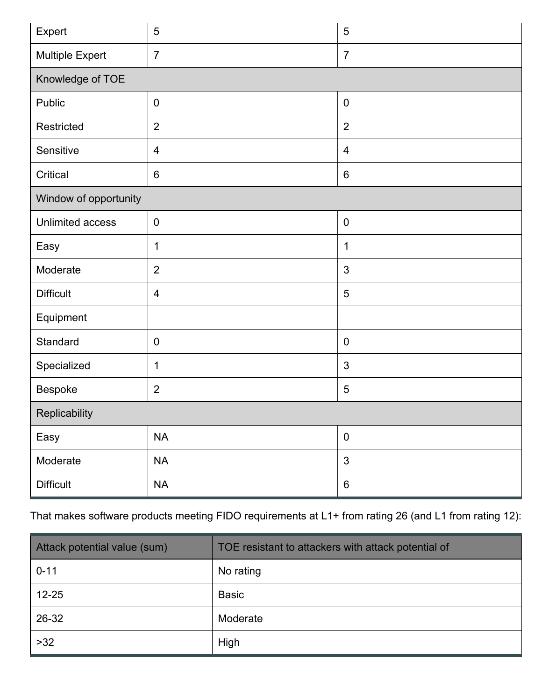<span id="page-8-0"></span>

| Expert                  | 5              | $\overline{5}$ |  |
|-------------------------|----------------|----------------|--|
| <b>Multiple Expert</b>  | $\overline{7}$ | $\overline{7}$ |  |
| Knowledge of TOE        |                |                |  |
| Public                  | $\overline{0}$ | $\pmb{0}$      |  |
| Restricted              | $\overline{2}$ | $\overline{2}$ |  |
| Sensitive               | $\overline{4}$ | 4              |  |
| Critical                | $6\phantom{1}$ | $6\,$          |  |
| Window of opportunity   |                |                |  |
| <b>Unlimited access</b> | $\mathbf 0$    | $\pmb{0}$      |  |
| Easy                    | 1              | $\mathbf 1$    |  |
| Moderate                | $\overline{2}$ | $\mathfrak{S}$ |  |
| <b>Difficult</b>        | $\overline{4}$ | $\overline{5}$ |  |
| Equipment               |                |                |  |
| Standard                | $\mathbf 0$    | $\pmb{0}$      |  |
| Specialized             | 1              | $\mathfrak{S}$ |  |
| Bespoke                 | $\overline{2}$ | $\overline{5}$ |  |
| Replicability           |                |                |  |
| Easy                    | <b>NA</b>      | $\pmb{0}$      |  |
| Moderate                | <b>NA</b>      | $\mathfrak{S}$ |  |
| <b>Difficult</b>        | $\sf NA$       | $\,6\,$        |  |

That makes software products meeting FIDO requirements at L1+ from rating 26 (and L1 from rating 12):

| Attack potential value (sum) | TOE resistant to attackers with attack potential of |
|------------------------------|-----------------------------------------------------|
| $0 - 11$                     | No rating                                           |
| $12 - 25$                    | <b>Basic</b>                                        |
| 26-32                        | Moderate                                            |
| $>32$                        | High                                                |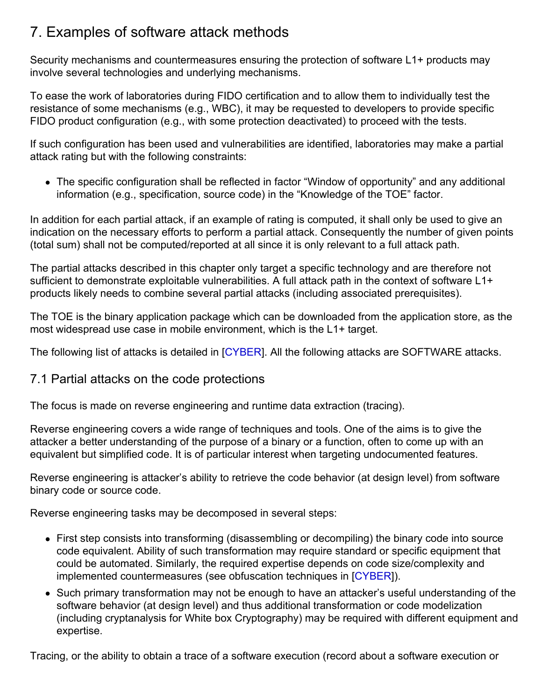# 7. Examples of software attack methods

Security mechanisms and countermeasures ensuring the protection of software L1+ products may involve several technologies and underlying mechanisms.

To ease the work of laboratories during FIDO certification and to allow them to individually test the resistance of some mechanisms (e.g., WBC), it may be requested to developers to provide specific FIDO product configuration (e.g., with some protection deactivated) to proceed with the tests.

If such configuration has been used and vulnerabilities are identified, laboratories may make a partial attack rating but with the following constraints:

The specific configuration shall be reflected in factor "Window of opportunity" and any additional information (e.g., specification, source code) in the "Knowledge of the TOE" factor.

In addition for each partial attack, if an example of rating is computed, it shall only be used to give an indication on the necessary efforts to perform a partial attack. Consequently the number of given points (total sum) shall not be computed/reported at all since it is only relevant to a full attack path.

The partial attacks described in this chapter only target a specific technology and are therefore not sufficient to demonstrate exploitable vulnerabilities. A full attack path in the context of software L1+ products likely needs to combine several partial attacks (including associated prerequisites).

The TOE is the binary application package which can be downloaded from the application store, as the most widespread use case in mobile environment, which is the L1+ target.

The following list of attacks is detailed in [\[CYBER](#page-12-8)]. All the following attacks are SOFTWARE attacks.

## 7.1 Partial attacks on the code protections

The focus is made on reverse engineering and runtime data extraction (tracing).

Reverse engineering covers a wide range of techniques and tools. One of the aims is to give the attacker a better understanding of the purpose of a binary or a function, often to come up with an equivalent but simplified code. It is of particular interest when targeting undocumented features.

Reverse engineering is attacker's ability to retrieve the code behavior (at design level) from software binary code or source code.

Reverse engineering tasks may be decomposed in several steps:

- First step consists into transforming (disassembling or decompiling) the binary code into source code equivalent. Ability of such transformation may require standard or specific equipment that could be automated. Similarly, the required expertise depends on code size/complexity and implemented countermeasures (see obfuscation techniques in [[CYBER](#page-12-8)]).
- Such primary transformation may not be enough to have an attacker's useful understanding of the software behavior (at design level) and thus additional transformation or code modelization (including cryptanalysis for White box Cryptography) may be required with different equipment and expertise.

Tracing, or the ability to obtain a trace of a software execution (record about a software execution or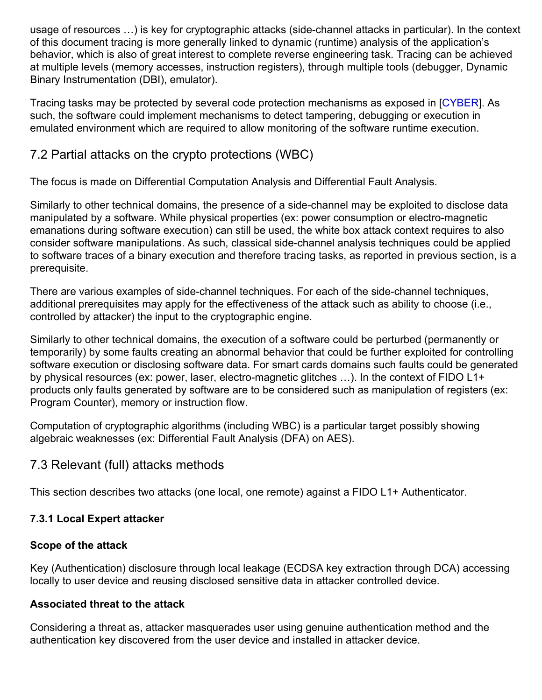<span id="page-10-0"></span>usage of resources …) is key for cryptographic attacks (side-channel attacks in particular). In the context of this document tracing is more generally linked to dynamic (runtime) analysis of the application's behavior, which is also of great interest to complete reverse engineering task. Tracing can be achieved at multiple levels (memory accesses, instruction registers), through multiple tools (debugger, Dynamic Binary Instrumentation (DBI), emulator).

Tracing tasks may be protected by several code protection mechanisms as exposed in [\[CYBER](#page-12-8)]. As such, the software could implement mechanisms to detect tampering, debugging or execution in emulated environment which are required to allow monitoring of the software runtime execution.

# <span id="page-10-1"></span>7.2 Partial attacks on the crypto protections (WBC)

The focus is made on Differential Computation Analysis and Differential Fault Analysis.

Similarly to other technical domains, the presence of a side-channel may be exploited to disclose data manipulated by a software. While physical properties (ex: power consumption or electro-magnetic emanations during software execution) can still be used, the white box attack context requires to also consider software manipulations. As such, classical side-channel analysis techniques could be applied to software traces of a binary execution and therefore tracing tasks, as reported in previous section, is a prerequisite.

There are various examples of side-channel techniques. For each of the side-channel techniques, additional prerequisites may apply for the effectiveness of the attack such as ability to choose (i.e., controlled by attacker) the input to the cryptographic engine.

Similarly to other technical domains, the execution of a software could be perturbed (permanently or temporarily) by some faults creating an abnormal behavior that could be further exploited for controlling software execution or disclosing software data. For smart cards domains such faults could be generated by physical resources (ex: power, laser, electro-magnetic glitches …). In the context of FIDO L1+ products only faults generated by software are to be considered such as manipulation of registers (ex: Program Counter), memory or instruction flow.

Computation of cryptographic algorithms (including WBC) is a particular target possibly showing algebraic weaknesses (ex: Differential Fault Analysis (DFA) on AES).

## 7.3 Relevant (full) attacks methods

This section describes two attacks (one local, one remote) against a FIDO L1+ Authenticator.

## **7.3.1 Local Expert attacker**

## **Scope of the attack**

Key (Authentication) disclosure through local leakage (ECDSA key extraction through DCA) accessing locally to user device and reusing disclosed sensitive data in attacker controlled device.

## **Associated threat to the attack**

Considering a threat as, attacker masquerades user using genuine authentication method and the authentication key discovered from the user device and installed in attacker device.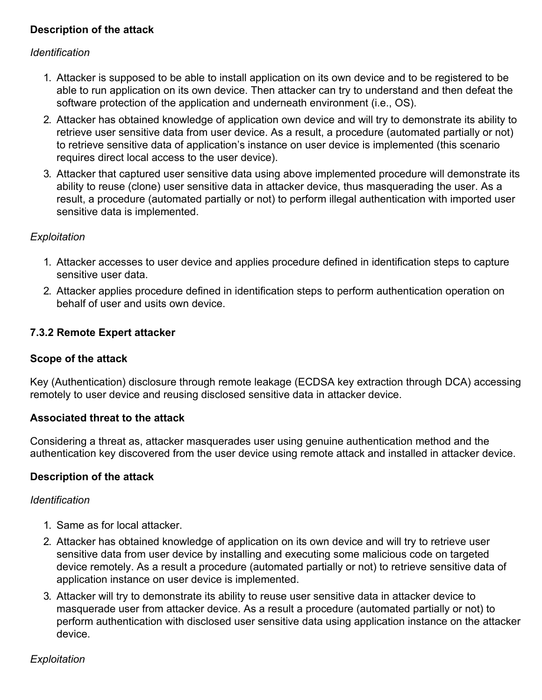## <span id="page-11-0"></span>**Description of the attack**

### *Identification*

- 1. Attacker is supposed to be able to install application on its own device and to be registered to be able to run application on its own device. Then attacker can try to understand and then defeat the software protection of the application and underneath environment (i.e., OS).
- 2. Attacker has obtained knowledge of application own device and will try to demonstrate its ability to retrieve user sensitive data from user device. As a result, a procedure (automated partially or not) to retrieve sensitive data of application's instance on user device is implemented (this scenario requires direct local access to the user device).
- 3. Attacker that captured user sensitive data using above implemented procedure will demonstrate its ability to reuse (clone) user sensitive data in attacker device, thus masquerading the user. As a result, a procedure (automated partially or not) to perform illegal authentication with imported user sensitive data is implemented.

### *Exploitation*

- 1. Attacker accesses to user device and applies procedure defined in identification steps to capture sensitive user data.
- 2. Attacker applies procedure defined in identification steps to perform authentication operation on behalf of user and usits own device.

### **7.3.2 Remote Expert attacker**

#### **Scope of the attack**

Key (Authentication) disclosure through remote leakage (ECDSA key extraction through DCA) accessing remotely to user device and reusing disclosed sensitive data in attacker device.

#### **Associated threat to the attack**

Considering a threat as, attacker masquerades user using genuine authentication method and the authentication key discovered from the user device using remote attack and installed in attacker device.

#### **Description of the attack**

#### *Identification*

- 1. Same as for local attacker.
- 2. Attacker has obtained knowledge of application on its own device and will try to retrieve user sensitive data from user device by installing and executing some malicious code on targeted device remotely. As a result a procedure (automated partially or not) to retrieve sensitive data of application instance on user device is implemented.
- 3. Attacker will try to demonstrate its ability to reuse user sensitive data in attacker device to masquerade user from attacker device. As a result a procedure (automated partially or not) to perform authentication with disclosed user sensitive data using application instance on the attacker device.

## *Exploitation*